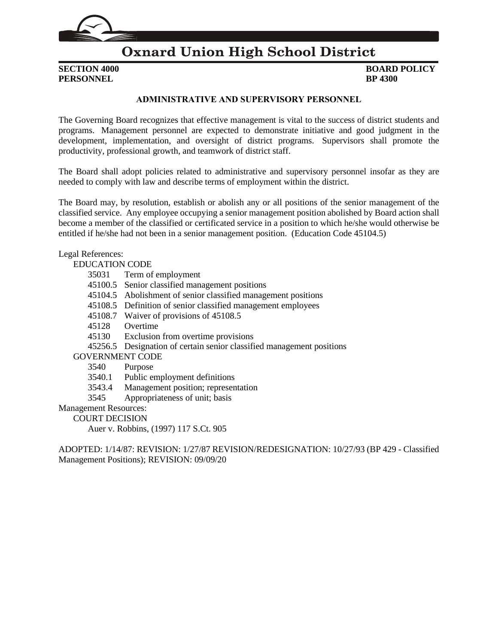

### **Oxnard Union High School District**

**PERSONNEL BP** 4300

## **SECTION 4000 BOARD POLICY**

#### **ADMINISTRATIVE AND SUPERVISORY PERSONNEL**

The Governing Board recognizes that effective management is vital to the success of district students and programs. Management personnel are expected to demonstrate initiative and good judgment in the development, implementation, and oversight of district programs. Supervisors shall promote the productivity, professional growth, and teamwork of district staff.

The Board shall adopt policies related to administrative and supervisory personnel insofar as they are needed to comply with law and describe terms of employment within the district.

The Board may, by resolution, establish or abolish any or all positions of the senior management of the classified service. Any employee occupying a senior management position abolished by Board action shall become a member of the classified or certificated service in a position to which he/she would otherwise be entitled if he/she had not been in a senior management position. (Education Code 45104.5)

#### Legal References:

#### EDUCATION CODE

- 35031 Term of employment
- 45100.5 Senior classified management positions
- 45104.5 Abolishment of senior classified management positions
- 45108.5 Definition of senior classified management employees
- 45108.7 Waiver of provisions of 45108.5
- 45128 Overtime
- 45130 Exclusion from overtime provisions
- 45256.5 Designation of certain senior classified management positions

#### GOVERNMENT CODE

- 3540 Purpose
- 3540.1 Public employment definitions
- 3543.4 Management position; representation
- 3545 Appropriateness of unit; basis

Management Resources:

COURT DECISION

Auer v. Robbins, (1997) 117 S.Ct. 905

ADOPTED: 1/14/87: REVISION: 1/27/87 REVISION/REDESIGNATION: 10/27/93 (BP 429 - Classified Management Positions); REVISION: 09/09/20